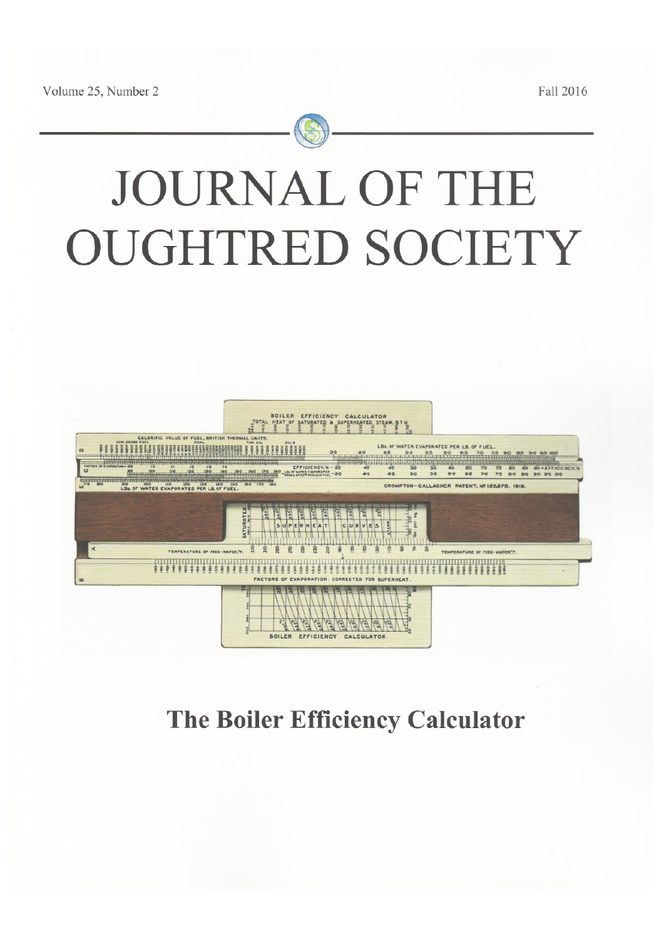Fall 2016



# JOURNAL OF THE **OUGHTRED SOCIETY**



# The Boiler Efficiency Calculator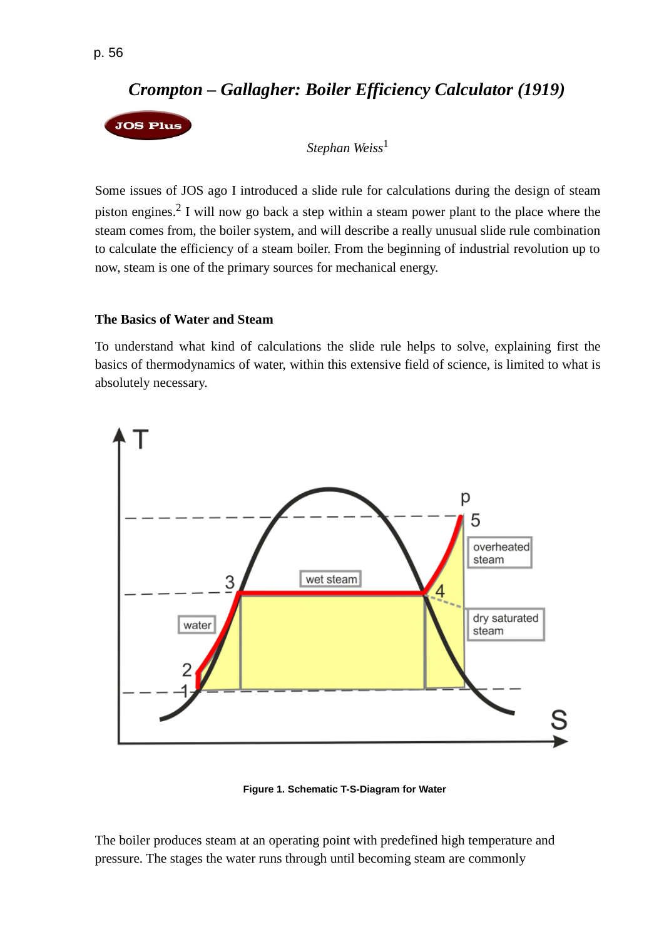*Stephan Weiss*<sup>1</sup>

Some issues of JOS ago I introduced a slide rule for calculations during the design of steam piston engines.<sup>2</sup> I will now go back a step within a steam power plant to the place where the steam comes from, the boiler system, and will describe a really unusual slide rule combination to calculate the efficiency of a steam boiler. From the beginning of industrial revolution up to now, steam is one of the primary sources for mechanical energy.

#### **The Basics of Water and Steam**

To understand what kind of calculations the slide rule helps to solve, explaining first the basics of thermodynamics of water, within this extensive field of science, is limited to what is absolutely necessary.



**Figure 1. Schematic T-S-Diagram for Water**

The boiler produces steam at an operating point with predefined high temperature and pressure. The stages the water runs through until becoming steam are commonly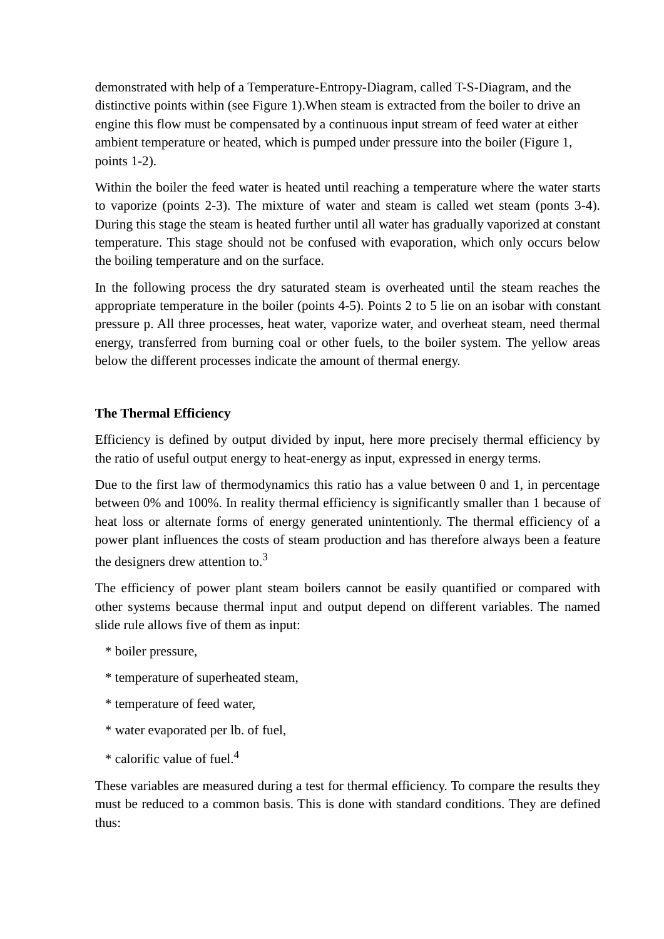demonstrated with help of a Temperature-Entropy-Diagram, called T-S-Diagram, and the distinctive points within (see Figure 1).When steam is extracted from the boiler to drive an engine this flow must be compensated by a continuous input stream of feed water at either ambient temperature or heated, which is pumped under pressure into the boiler (Figure 1, points 1-2).

Within the boiler the feed water is heated until reaching a temperature where the water starts to vaporize (points 2-3). The mixture of water and steam is called wet steam (ponts 3-4). During this stage the steam is heated further until all water has gradually vaporized at constant temperature. This stage should not be confused with evaporation, which only occurs below the boiling temperature and on the surface.

In the following process the dry saturated steam is overheated until the steam reaches the appropriate temperature in the boiler (points 4-5). Points 2 to 5 lie on an isobar with constant pressure p. All three processes, heat water, vaporize water, and overheat steam, need thermal energy, transferred from burning coal or other fuels, to the boiler system. The yellow areas below the different processes indicate the amount of thermal energy.

## **The Thermal Efficiency**

Efficiency is defined by output divided by input, here more precisely thermal efficiency by the ratio of useful output energy to heat-energy as input, expressed in energy terms.

Due to the first law of thermodynamics this ratio has a value between 0 and 1, in percentage between 0% and 100%. In reality thermal efficiency is significantly smaller than 1 because of heat loss or alternate forms of energy generated unintentionly. The thermal efficiency of a power plant influences the costs of steam production and has therefore always been a feature the designers drew attention to. $3$ 

The efficiency of power plant steam boilers cannot be easily quantified or compared with other systems because thermal input and output depend on different variables. The named slide rule allows five of them as input:

- \* boiler pressure,
- \* temperature of superheated steam,
- \* temperature of feed water,
- \* water evaporated per lb. of fuel,
- \* calorific value of fuel.<sup>4</sup>

These variables are measured during a test for thermal efficiency. To compare the results they must be reduced to a common basis. This is done with standard conditions. They are defined thus: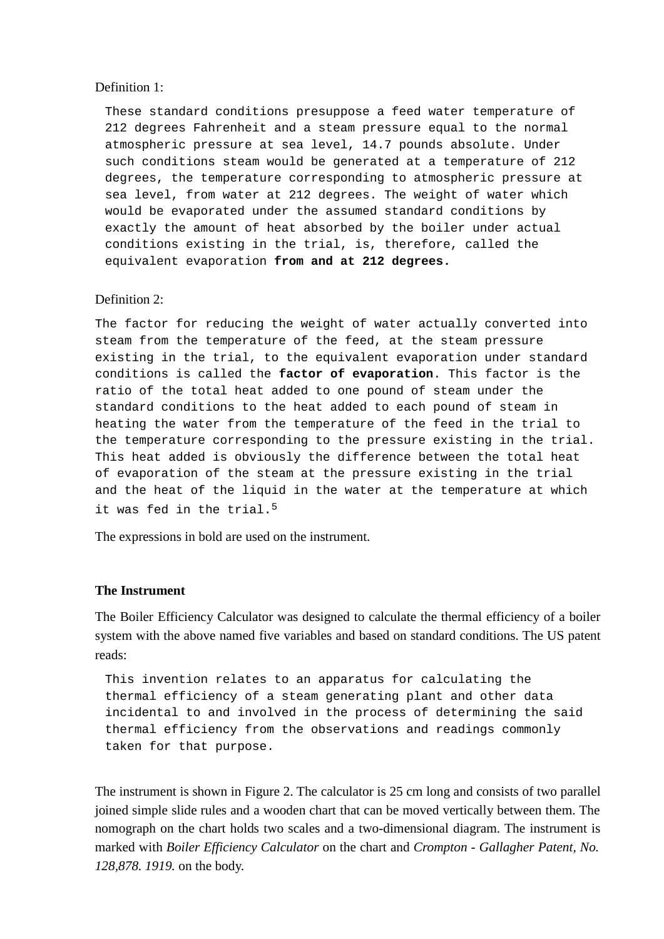#### Definition 1:

These standard conditions presuppose a feed water temperature of 212 degrees Fahrenheit and a steam pressure equal to the normal atmospheric pressure at sea level, 14.7 pounds absolute. Under such conditions steam would be generated at a temperature of 212 degrees, the temperature corresponding to atmospheric pressure at sea level, from water at 212 degrees. The weight of water which would be evaporated under the assumed standard conditions by exactly the amount of heat absorbed by the boiler under actual conditions existing in the trial, is, therefore, called the equivalent evaporation **from and at 212 degrees.**

#### Definition 2:

The factor for reducing the weight of water actually converted into steam from the temperature of the feed, at the steam pressure existing in the trial, to the equivalent evaporation under standard conditions is called the **factor of evaporation**. This factor is the ratio of the total heat added to one pound of steam under the standard conditions to the heat added to each pound of steam in heating the water from the temperature of the feed in the trial to the temperature corresponding to the pressure existing in the trial. This heat added is obviously the difference between the total heat of evaporation of the steam at the pressure existing in the trial and the heat of the liquid in the water at the temperature at which it was fed in the trial.<sup>5</sup>

The expressions in bold are used on the instrument.

#### **The Instrument**

The Boiler Efficiency Calculator was designed to calculate the thermal efficiency of a boiler system with the above named five variables and based on standard conditions. The US patent reads:

This invention relates to an apparatus for calculating the thermal efficiency of a steam generating plant and other data incidental to and involved in the process of determining the said thermal efficiency from the observations and readings commonly taken for that purpose.

The instrument is shown in Figure 2. The calculator is 25 cm long and consists of two parallel joined simple slide rules and a wooden chart that can be moved vertically between them. The nomograph on the chart holds two scales and a two-dimensional diagram. The instrument is marked with *Boiler Efficiency Calculator* on the chart and *Crompton - Gallagher Patent, No. 128,878. 1919.* on the body.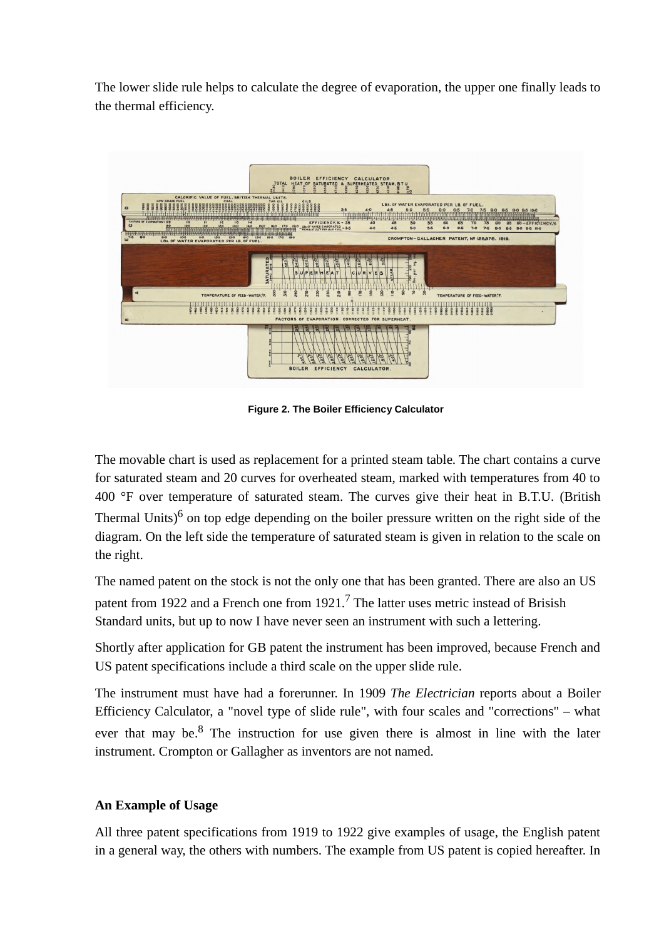The lower slide rule helps to calculate the degree of evaporation, the upper one finally leads to the thermal efficiency.



**Figure 2. The Boiler Efficiency Calculator**

The movable chart is used as replacement for a printed steam table. The chart contains a curve for saturated steam and 20 curves for overheated steam, marked with temperatures from 40 to 400 °F over temperature of saturated steam. The curves give their heat in B.T.U. (British Thermal Units)<sup>6</sup> on top edge depending on the boiler pressure written on the right side of the diagram. On the left side the temperature of saturated steam is given in relation to the scale on the right.

The named patent on the stock is not the only one that has been granted. There are also an US patent from 1922 and a French one from  $1921$ .<sup>7</sup> The latter uses metric instead of Brisish Standard units, but up to now I have never seen an instrument with such a lettering.

Shortly after application for GB patent the instrument has been improved, because French and US patent specifications include a third scale on the upper slide rule.

The instrument must have had a forerunner. In 1909 *The Electrician* reports about a Boiler Efficiency Calculator, a "novel type of slide rule", with four scales and "corrections" – what ever that may be. $8$  The instruction for use given there is almost in line with the later instrument. Crompton or Gallagher as inventors are not named.

## **An Example of Usage**

All three patent specifications from 1919 to 1922 give examples of usage, the English patent in a general way, the others with numbers. The example from US patent is copied hereafter. In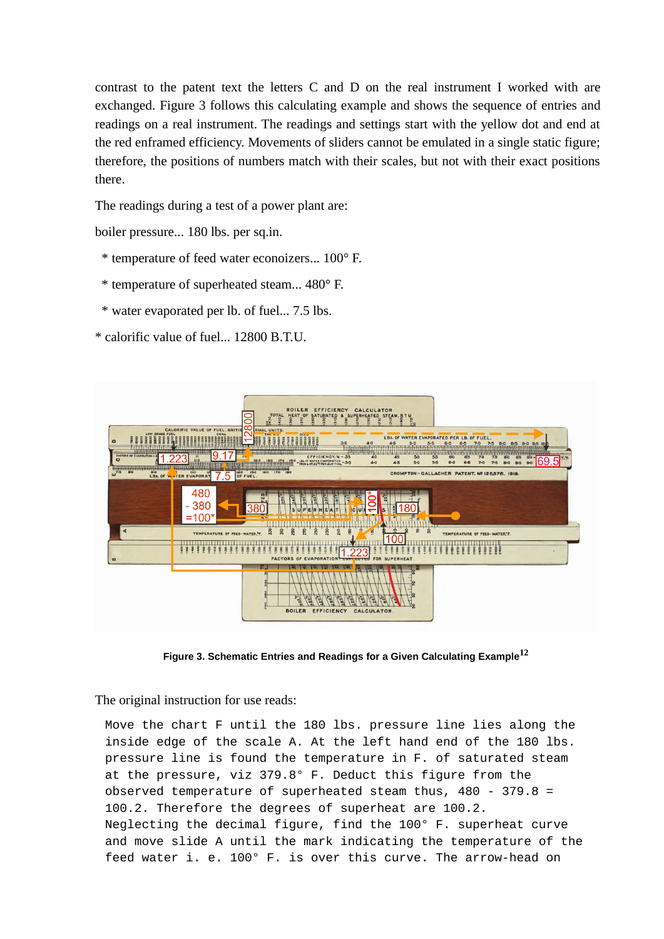contrast to the patent text the letters C and D on the real instrument I worked with are exchanged. Figure 3 follows this calculating example and shows the sequence of entries and readings on a real instrument. The readings and settings start with the yellow dot and end at the red enframed efficiency. Movements of sliders cannot be emulated in a single static figure; therefore, the positions of numbers match with their scales, but not with their exact positions there.

The readings during a test of a power plant are:

boiler pressure... 180 lbs. per sq.in.

- \* temperature of feed water econoizers... 100° F.
- \* temperature of superheated steam... 480° F.
- \* water evaporated per lb. of fuel... 7.5 lbs.

\* calorific value of fuel... 12800 B.T.U.



**Figure 3. Schematic Entries and Readings for a Given Calculating Example<sup>12</sup>**

The original instruction for use reads:

Move the chart F until the 180 lbs. pressure line lies along the inside edge of the scale A. At the left hand end of the 180 lbs. pressure line is found the temperature in F. of saturated steam at the pressure, viz 379.8° F. Deduct this figure from the observed temperature of superheated steam thus,  $480 - 379.8 =$ 100.2. Therefore the degrees of superheat are 100.2. Neglecting the decimal figure, find the 100° F. superheat curve and move slide A until the mark indicating the temperature of the feed water i. e. 100° F. is over this curve. The arrow-head on